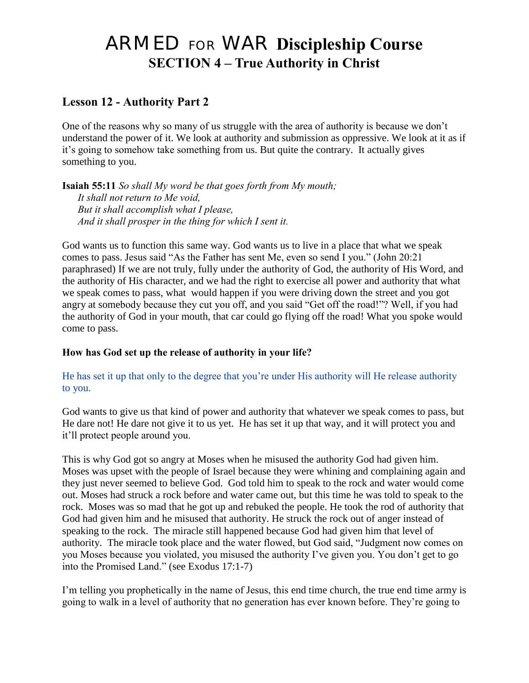# ARMED FOR WAR **Discipleship Course SECTION 4 – True Authority in Christ**

## **Lesson 12 - Authority Part 2**

One of the reasons why so many of us struggle with the area of authority is because we don"t understand the power of it. We look at authority and submission as oppressive. We look at it as if it"s going to somehow take something from us. But quite the contrary. It actually gives something to you.

**Isaiah 55:11** *So shall My word be that goes forth from My mouth; It shall not return to Me void, But it shall accomplish what I please, And it shall prosper in the thing for which I sent it.*

God wants us to function this same way. God wants us to live in a place that what we speak comes to pass. Jesus said "As the Father has sent Me, even so send I you." (John 20:21 paraphrased) If we are not truly, fully under the authority of God, the authority of His Word, and the authority of His character, and we had the right to exercise all power and authority that what we speak comes to pass, what would happen if you were driving down the street and you got angry at somebody because they cut you off, and you said "Get off the road!"? Well, if you had the authority of God in your mouth, that car could go flying off the road! What you spoke would come to pass.

#### **How has God set up the release of authority in your life?**

#### He has set it up that only to the degree that you"re under His authority will He release authority to you.

God wants to give us that kind of power and authority that whatever we speak comes to pass, but He dare not! He dare not give it to us yet. He has set it up that way, and it will protect you and it"ll protect people around you.

This is why God got so angry at Moses when he misused the authority God had given him. Moses was upset with the people of Israel because they were whining and complaining again and they just never seemed to believe God. God told him to speak to the rock and water would come out. Moses had struck a rock before and water came out, but this time he was told to speak to the rock. Moses was so mad that he got up and rebuked the people. He took the rod of authority that God had given him and he misused that authority. He struck the rock out of anger instead of speaking to the rock. The miracle still happened because God had given him that level of authority. The miracle took place and the water flowed, but God said, "Judgment now comes on you Moses because you violated, you misused the authority I"ve given you. You don"t get to go into the Promised Land." (see Exodus 17:1-7)

I"m telling you prophetically in the name of Jesus, this end time church, the true end time army is going to walk in a level of authority that no generation has ever known before. They"re going to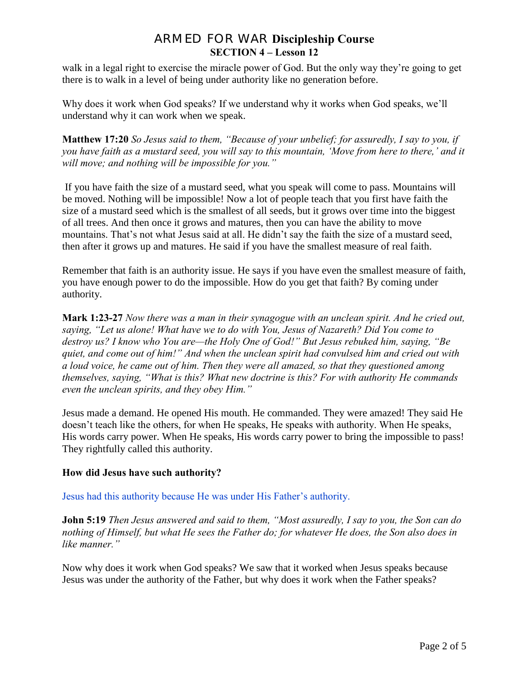walk in a legal right to exercise the miracle power of God. But the only way they"re going to get there is to walk in a level of being under authority like no generation before.

Why does it work when God speaks? If we understand why it works when God speaks, we'll understand why it can work when we speak.

**Matthew 17:20** *So Jesus said to them, "Because of your unbelief; for assuredly, I say to you, if you have faith as a mustard seed, you will say to this mountain, "Move from here to there," and it will move; and nothing will be impossible for you."*

If you have faith the size of a mustard seed, what you speak will come to pass. Mountains will be moved. Nothing will be impossible! Now a lot of people teach that you first have faith the size of a mustard seed which is the smallest of all seeds, but it grows over time into the biggest of all trees. And then once it grows and matures, then you can have the ability to move mountains. That's not what Jesus said at all. He didn't say the faith the size of a mustard seed, then after it grows up and matures. He said if you have the smallest measure of real faith.

Remember that faith is an authority issue. He says if you have even the smallest measure of faith, you have enough power to do the impossible. How do you get that faith? By coming under authority.

**Mark 1:23-27** *Now there was a man in their synagogue with an unclean spirit. And he cried out, saying, "Let us alone! What have we to do with You, Jesus of Nazareth? Did You come to destroy us? I know who You are—the Holy One of God!" But Jesus rebuked him, saying, "Be quiet, and come out of him!" And when the unclean spirit had convulsed him and cried out with a loud voice, he came out of him. Then they were all amazed, so that they questioned among themselves, saying, "What is this? What new doctrine is this? For with authority He commands even the unclean spirits, and they obey Him."*

Jesus made a demand. He opened His mouth. He commanded. They were amazed! They said He doesn"t teach like the others, for when He speaks, He speaks with authority. When He speaks, His words carry power. When He speaks, His words carry power to bring the impossible to pass! They rightfully called this authority.

#### **How did Jesus have such authority?**

Jesus had this authority because He was under His Father"s authority.

**John 5:19** *Then Jesus answered and said to them, "Most assuredly, I say to you, the Son can do nothing of Himself, but what He sees the Father do; for whatever He does, the Son also does in like manner."*

Now why does it work when God speaks? We saw that it worked when Jesus speaks because Jesus was under the authority of the Father, but why does it work when the Father speaks?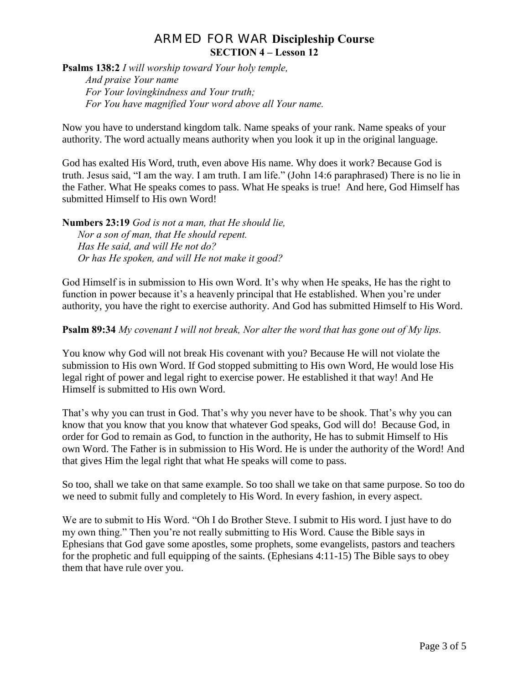**Psalms 138:2** *I will worship toward Your holy temple, And praise Your name For Your lovingkindness and Your truth; For You have magnified Your word above all Your name.*

Now you have to understand kingdom talk. Name speaks of your rank. Name speaks of your authority. The word actually means authority when you look it up in the original language.

God has exalted His Word, truth, even above His name. Why does it work? Because God is truth. Jesus said, "I am the way. I am truth. I am life." (John 14:6 paraphrased) There is no lie in the Father. What He speaks comes to pass. What He speaks is true! And here, God Himself has submitted Himself to His own Word!

**Numbers 23:19** *God is not a man, that He should lie, Nor a son of man, that He should repent. Has He said, and will He not do? Or has He spoken, and will He not make it good?*

God Himself is in submission to His own Word. It's why when He speaks, He has the right to function in power because it's a heavenly principal that He established. When you're under authority, you have the right to exercise authority. And God has submitted Himself to His Word.

**Psalm 89:34** *My covenant I will not break, Nor alter the word that has gone out of My lips.*

You know why God will not break His covenant with you? Because He will not violate the submission to His own Word. If God stopped submitting to His own Word, He would lose His legal right of power and legal right to exercise power. He established it that way! And He Himself is submitted to His own Word.

That's why you can trust in God. That's why you never have to be shook. That's why you can know that you know that you know that whatever God speaks, God will do! Because God, in order for God to remain as God, to function in the authority, He has to submit Himself to His own Word. The Father is in submission to His Word. He is under the authority of the Word! And that gives Him the legal right that what He speaks will come to pass.

So too, shall we take on that same example. So too shall we take on that same purpose. So too do we need to submit fully and completely to His Word. In every fashion, in every aspect.

We are to submit to His Word. "Oh I do Brother Steve. I submit to His word. I just have to do my own thing." Then you"re not really submitting to His Word. Cause the Bible says in Ephesians that God gave some apostles, some prophets, some evangelists, pastors and teachers for the prophetic and full equipping of the saints. (Ephesians 4:11-15) The Bible says to obey them that have rule over you.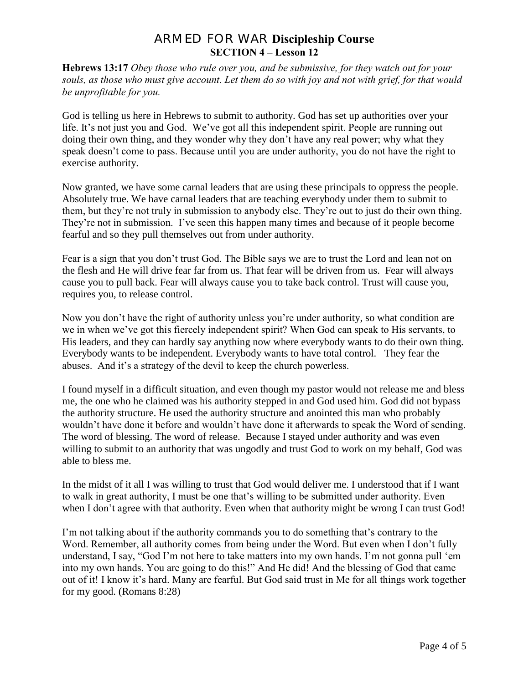**Hebrews 13:17** *Obey those who rule over you, and be submissive, for they watch out for your souls, as those who must give account. Let them do so with joy and not with grief, for that would be unprofitable for you.*

God is telling us here in Hebrews to submit to authority. God has set up authorities over your life. It's not just you and God. We've got all this independent spirit. People are running out doing their own thing, and they wonder why they don"t have any real power; why what they speak doesn't come to pass. Because until you are under authority, you do not have the right to exercise authority.

Now granted, we have some carnal leaders that are using these principals to oppress the people. Absolutely true. We have carnal leaders that are teaching everybody under them to submit to them, but they"re not truly in submission to anybody else. They"re out to just do their own thing. They're not in submission. I've seen this happen many times and because of it people become fearful and so they pull themselves out from under authority.

Fear is a sign that you don"t trust God. The Bible says we are to trust the Lord and lean not on the flesh and He will drive fear far from us. That fear will be driven from us. Fear will always cause you to pull back. Fear will always cause you to take back control. Trust will cause you, requires you, to release control.

Now you don"t have the right of authority unless you"re under authority, so what condition are we in when we"ve got this fiercely independent spirit? When God can speak to His servants, to His leaders, and they can hardly say anything now where everybody wants to do their own thing. Everybody wants to be independent. Everybody wants to have total control. They fear the abuses. And it's a strategy of the devil to keep the church powerless.

I found myself in a difficult situation, and even though my pastor would not release me and bless me, the one who he claimed was his authority stepped in and God used him. God did not bypass the authority structure. He used the authority structure and anointed this man who probably wouldn"t have done it before and wouldn"t have done it afterwards to speak the Word of sending. The word of blessing. The word of release. Because I stayed under authority and was even willing to submit to an authority that was ungodly and trust God to work on my behalf, God was able to bless me.

In the midst of it all I was willing to trust that God would deliver me. I understood that if I want to walk in great authority, I must be one that"s willing to be submitted under authority. Even when I don't agree with that authority. Even when that authority might be wrong I can trust God!

I'm not talking about if the authority commands you to do something that's contrary to the Word. Remember, all authority comes from being under the Word. But even when I don"t fully understand, I say, "God I"m not here to take matters into my own hands. I"m not gonna pull "em into my own hands. You are going to do this!" And He did! And the blessing of God that came out of it! I know it's hard. Many are fearful. But God said trust in Me for all things work together for my good. (Romans 8:28)